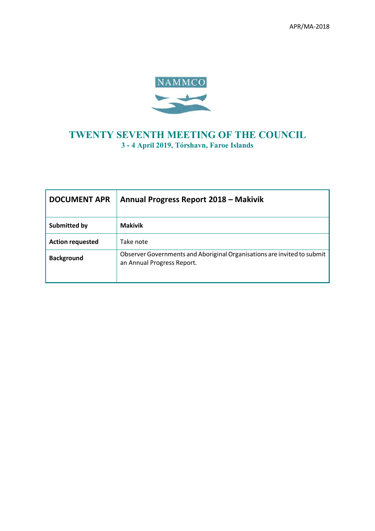

# **TWENTY SEVENTH MEETING OF THE COUNCIL 3 - 4 April 2019, Tórshavn, Faroe Islands**

| <b>DOCUMENT APR</b>     | Annual Progress Report 2018 - Makivik                                                                 |
|-------------------------|-------------------------------------------------------------------------------------------------------|
| <b>Submitted by</b>     | <b>Makivik</b>                                                                                        |
| <b>Action requested</b> | Take note                                                                                             |
| <b>Background</b>       | Observer Governments and Aboriginal Organisations are invited to submit<br>an Annual Progress Report. |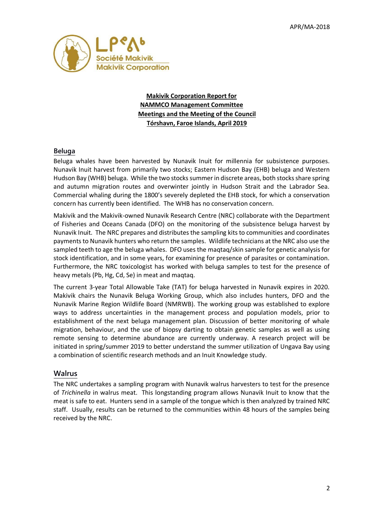

**Makivik Corporation Report for NAMMCO Management Committee Meetings and the Meeting of the Council Tórshavn, Faroe Islands, April 2019**

#### **Beluga**

Beluga whales have been harvested by Nunavik Inuit for millennia for subsistence purposes. Nunavik Inuit harvest from primarily two stocks; Eastern Hudson Bay (EHB) beluga and Western Hudson Bay (WHB) beluga. While the two stocks summer in discrete areas, both stocks share spring and autumn migration routes and overwinter jointly in Hudson Strait and the Labrador Sea. Commercial whaling during the 1800's severely depleted the EHB stock, for which a conservation concern has currently been identified. The WHB has no conservation concern.

Makivik and the Makivik-owned Nunavik Research Centre (NRC) collaborate with the Department of Fisheries and Oceans Canada (DFO) on the monitoring of the subsistence beluga harvest by Nunavik Inuit. The NRC prepares and distributes the sampling kits to communities and coordinates payments to Nunavik hunters who return the samples. Wildlife technicians at the NRC also use the sampled teeth to age the beluga whales. DFO uses the maqtaq/skin sample for genetic analysis for stock identification, and in some years, for examining for presence of parasites or contamination. Furthermore, the NRC toxicologist has worked with beluga samples to test for the presence of heavy metals (Pb, Hg, Cd, Se) in meat and maqtaq.

The current 3-year Total Allowable Take (TAT) for beluga harvested in Nunavik expires in 2020. Makivik chairs the Nunavik Beluga Working Group, which also includes hunters, DFO and the Nunavik Marine Region Wildlife Board (NMRWB). The working group was established to explore ways to address uncertainties in the management process and population models, prior to establishment of the next beluga management plan. Discussion of better monitoring of whale migration, behaviour, and the use of biopsy darting to obtain genetic samples as well as using remote sensing to determine abundance are currently underway. A research project will be initiated in spring/summer 2019 to better understand the summer utilization of Ungava Bay using a combination of scientific research methods and an Inuit Knowledge study.

#### **Walrus**

The NRC undertakes a sampling program with Nunavik walrus harvesters to test for the presence of *Trichinella* in walrus meat. This longstanding program allows Nunavik Inuit to know that the meat is safe to eat. Hunters send in a sample of the tongue which is then analyzed by trained NRC staff. Usually, results can be returned to the communities within 48 hours of the samples being received by the NRC.